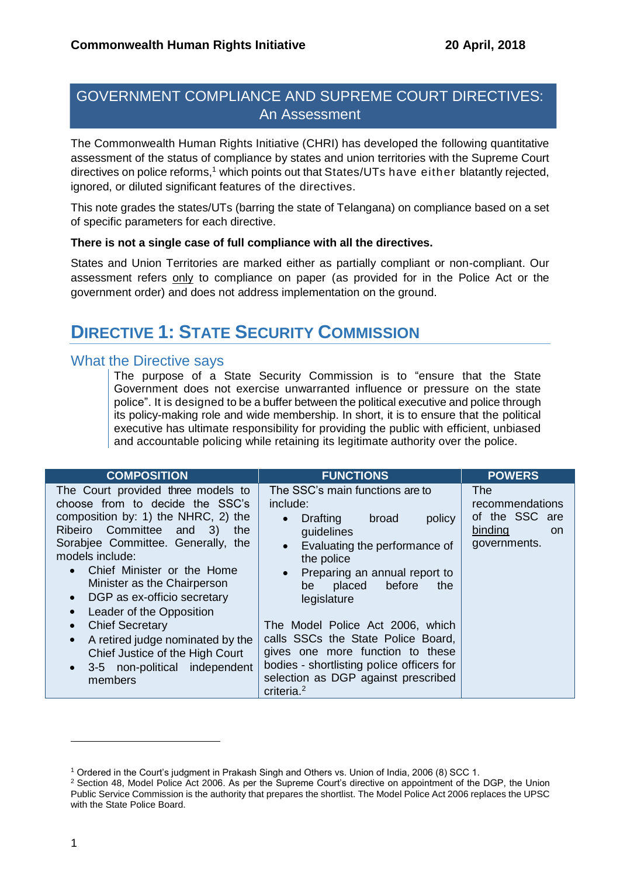## GOVERNMENT COMPLIANCE AND SUPREME COURT DIRECTIVES: An Assessment

The Commonwealth Human Rights Initiative (CHRI) has developed the following quantitative assessment of the status of compliance by states and union territories with the Supreme Court directives on police reforms,<sup>1</sup> which points out that States/UTs have either blatantly rejected, ignored, or diluted significant features of the directives.

This note grades the states/UTs (barring the state of Telangana) on compliance based on a set of specific parameters for each directive.

#### **There is not a single case of full compliance with all the directives.**

States and Union Territories are marked either as partially compliant or non-compliant. Our assessment refers only to compliance on paper (as provided for in the Police Act or the government order) and does not address implementation on the ground.

# **DIRECTIVE 1: STATE SECURITY COMMISSION**

#### What the Directive says

The purpose of a State Security Commission is to "ensure that the State Government does not exercise unwarranted influence or pressure on the state police". It is designed to be a buffer between the political executive and police through its policy-making role and wide membership. In short, it is to ensure that the political executive has ultimate responsibility for providing the public with efficient, unbiased and accountable policing while retaining its legitimate authority over the police.

| <b>COMPOSITION</b>                                                                                                                                                                                                                                                                                                                                           | <b>FUNCTIONS</b>                                                                                                                                                                                                                                                | <b>POWERS</b>                                                                    |
|--------------------------------------------------------------------------------------------------------------------------------------------------------------------------------------------------------------------------------------------------------------------------------------------------------------------------------------------------------------|-----------------------------------------------------------------------------------------------------------------------------------------------------------------------------------------------------------------------------------------------------------------|----------------------------------------------------------------------------------|
| The Court provided three models to<br>choose from to decide the SSC's<br>composition by: 1) the NHRC, 2) the<br>Ribeiro Committee and 3)<br>the<br>Sorabjee Committee. Generally, the<br>models include:<br>Chief Minister or the Home<br>$\bullet$<br>Minister as the Chairperson<br>• DGP as ex-officio secretary<br>Leader of the Opposition<br>$\bullet$ | The SSC's main functions are to<br>include:<br>Drafting<br>broad<br>policy<br>$\bullet$<br>guidelines<br>Evaluating the performance of<br>$\bullet$<br>the police<br>Preparing an annual report to<br>$\bullet$<br>before<br>be<br>placed<br>the<br>legislature | The<br>recommendations<br>of the SSC are<br>binding<br><b>on</b><br>governments. |
| <b>Chief Secretary</b><br>$\bullet$<br>A retired judge nominated by the<br>$\bullet$<br>Chief Justice of the High Court<br>• 3-5 non-political independent<br>members                                                                                                                                                                                        | The Model Police Act 2006, which<br>calls SSCs the State Police Board,<br>gives one more function to these<br>bodies - shortlisting police officers for<br>selection as DGP against prescribed<br>criteria. <sup>2</sup>                                        |                                                                                  |

<sup>1</sup> Ordered in the Court's judgment in Prakash Singh and Others vs. Union of India, 2006 (8) SCC 1.

<sup>2</sup> Section 48, Model Police Act 2006. As per the Supreme Court's directive on appointment of the DGP, the Union Public Service Commission is the authority that prepares the shortlist. The Model Police Act 2006 replaces the UPSC with the State Police Board.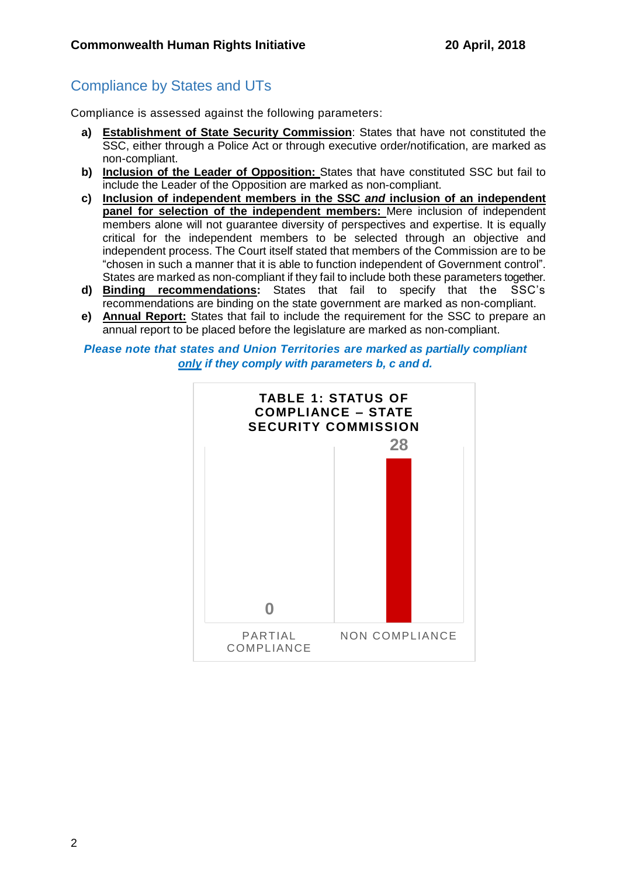## Compliance by States and UTs

Compliance is assessed against the following parameters:

- **a) Establishment of State Security Commission**: States that have not constituted the SSC, either through a Police Act or through executive order/notification, are marked as non-compliant.
- **b) Inclusion of the Leader of Opposition:** States that have constituted SSC but fail to include the Leader of the Opposition are marked as non-compliant.
- **c) Inclusion of independent members in the SSC** *and* **inclusion of an independent panel for selection of the independent members:** Mere inclusion of independent members alone will not guarantee diversity of perspectives and expertise. It is equally critical for the independent members to be selected through an objective and independent process. The Court itself stated that members of the Commission are to be "chosen in such a manner that it is able to function independent of Government control". States are marked as non-compliant if they fail to include both these parameters together.
- **d) Binding recommendations:** States that fail to specify that the SSC's recommendations are binding on the state government are marked as non-compliant.
- **e) Annual Report:** States that fail to include the requirement for the SSC to prepare an annual report to be placed before the legislature are marked as non-compliant.

*Please note that states and Union Territories are marked as partially compliant only if they comply with parameters b, c and d.*

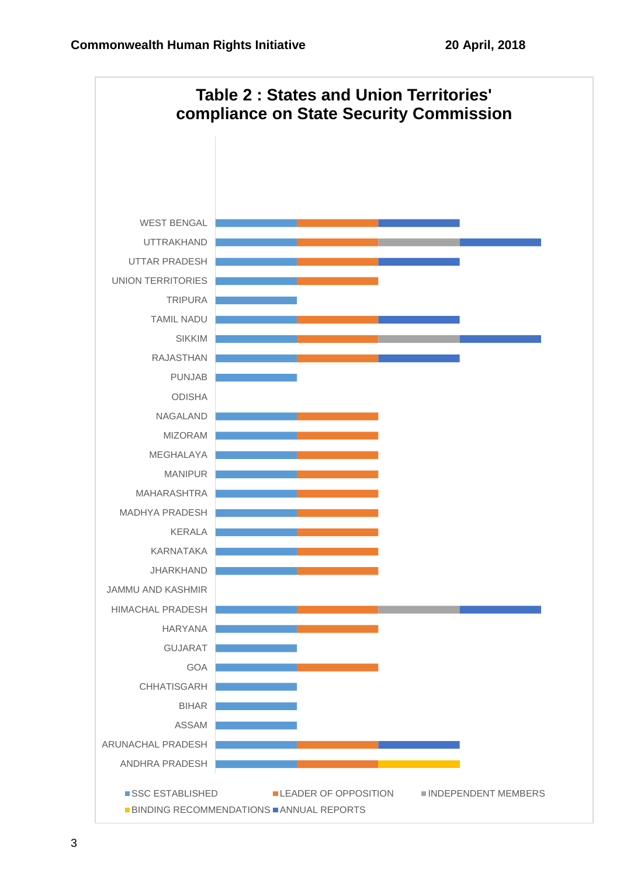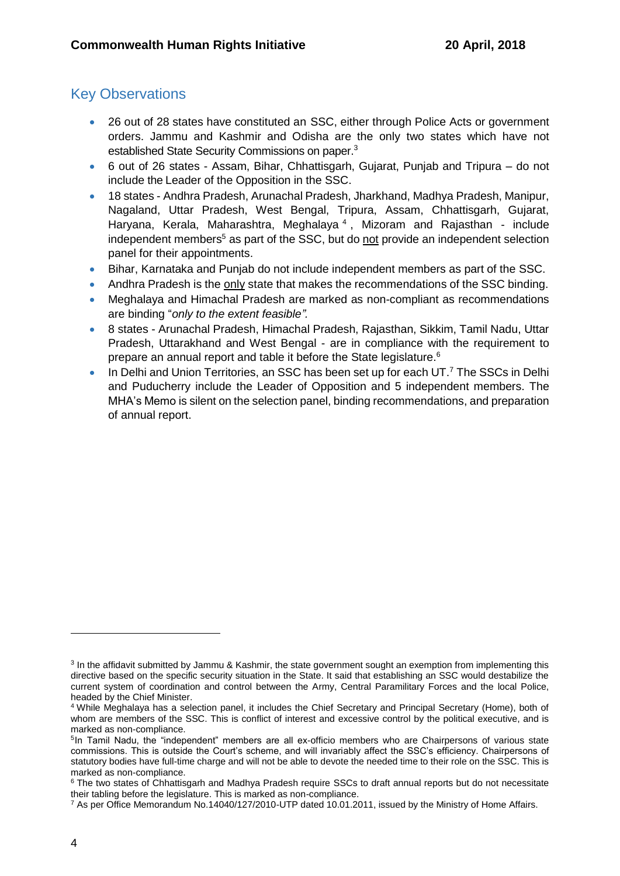- 26 out of 28 states have constituted an SSC, either through Police Acts or government orders. Jammu and Kashmir and Odisha are the only two states which have not established State Security Commissions on paper.<sup>3</sup>
- 6 out of 26 states Assam, Bihar, Chhattisgarh, Gujarat, Punjab and Tripura do not include the Leader of the Opposition in the SSC.
- 18 states Andhra Pradesh, Arunachal Pradesh, Jharkhand, Madhya Pradesh, Manipur, Nagaland, Uttar Pradesh, West Bengal, Tripura, Assam, Chhattisgarh, Gujarat, Haryana, Kerala, Maharashtra, Meghalaya<sup>4</sup>, Mizoram and Rajasthan - include independent members<sup>5</sup> as part of the SSC, but do not provide an independent selection panel for their appointments.
- Bihar, Karnataka and Punjab do not include independent members as part of the SSC.
- Andhra Pradesh is the only state that makes the recommendations of the SSC binding.
- Meghalaya and Himachal Pradesh are marked as non-compliant as recommendations are binding "*only to the extent feasible".*
- 8 states Arunachal Pradesh, Himachal Pradesh, Rajasthan, Sikkim, Tamil Nadu, Uttar Pradesh, Uttarakhand and West Bengal - are in compliance with the requirement to prepare an annual report and table it before the State legislature.<sup>6</sup>
- In Delhi and Union Territories, an SSC has been set up for each UT.<sup>7</sup> The SSCs in Delhi and Puducherry include the Leader of Opposition and 5 independent members. The MHA's Memo is silent on the selection panel, binding recommendations, and preparation of annual report.

<sup>&</sup>lt;sup>3</sup> In the affidavit submitted by Jammu & Kashmir, the state government sought an exemption from implementing this directive based on the specific security situation in the State. It said that establishing an SSC would destabilize the current system of coordination and control between the Army, Central Paramilitary Forces and the local Police, headed by the Chief Minister.

<sup>4</sup> While Meghalaya has a selection panel, it includes the Chief Secretary and Principal Secretary (Home), both of whom are members of the SSC. This is conflict of interest and excessive control by the political executive, and is marked as non-compliance.

<sup>&</sup>lt;sup>5</sup>In Tamil Nadu, the "independent" members are all ex-officio members who are Chairpersons of various state commissions. This is outside the Court's scheme, and will invariably affect the SSC's efficiency. Chairpersons of statutory bodies have full-time charge and will not be able to devote the needed time to their role on the SSC. This is marked as non-compliance.

<sup>&</sup>lt;sup>6</sup> The two states of Chhattisgarh and Madhya Pradesh require SSCs to draft annual reports but do not necessitate their tabling before the legislature. This is marked as non-compliance.

<sup>7</sup> As per Office Memorandum No.14040/127/2010-UTP dated 10.01.2011, issued by the Ministry of Home Affairs.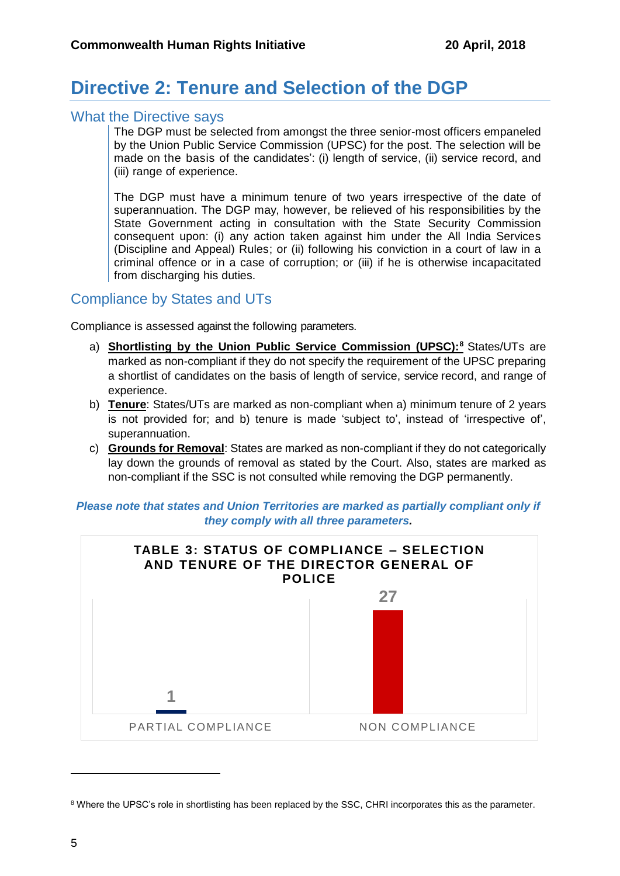# **Directive 2: Tenure and Selection of the DGP**

#### What the Directive says

The DGP must be selected from amongst the three senior-most officers empaneled by the Union Public Service Commission (UPSC) for the post. The selection will be made on the basis of the candidates': (i) length of service, (ii) service record, and (iii) range of experience.

The DGP must have a minimum tenure of two years irrespective of the date of superannuation. The DGP may, however, be relieved of his responsibilities by the State Government acting in consultation with the State Security Commission consequent upon: (i) any action taken against him under the All India Services (Discipline and Appeal) Rules; or (ii) following his conviction in a court of law in a criminal offence or in a case of corruption; or (iii) if he is otherwise incapacitated from discharging his duties.

### Compliance by States and UTs

Compliance is assessed against the following parameters.

- a) **Shortlisting by the Union Public Service Commission (UPSC): <sup>8</sup>** States/UTs are marked as non-compliant if they do not specify the requirement of the UPSC preparing a shortlist of candidates on the basis of length of service, service record, and range of experience.
- b) **Tenure**: States/UTs are marked as non-compliant when a) minimum tenure of 2 years is not provided for; and b) tenure is made 'subject to', instead of 'irrespective of', superannuation.
- c) **Grounds for Removal**: States are marked as non-compliant if they do not categorically lay down the grounds of removal as stated by the Court. Also, states are marked as non-compliant if the SSC is not consulted while removing the DGP permanently.

#### *Please note that states and Union Territories are marked as partially compliant only if they comply with all three parameters.*



<sup>&</sup>lt;sup>8</sup> Where the UPSC's role in shortlisting has been replaced by the SSC, CHRI incorporates this as the parameter.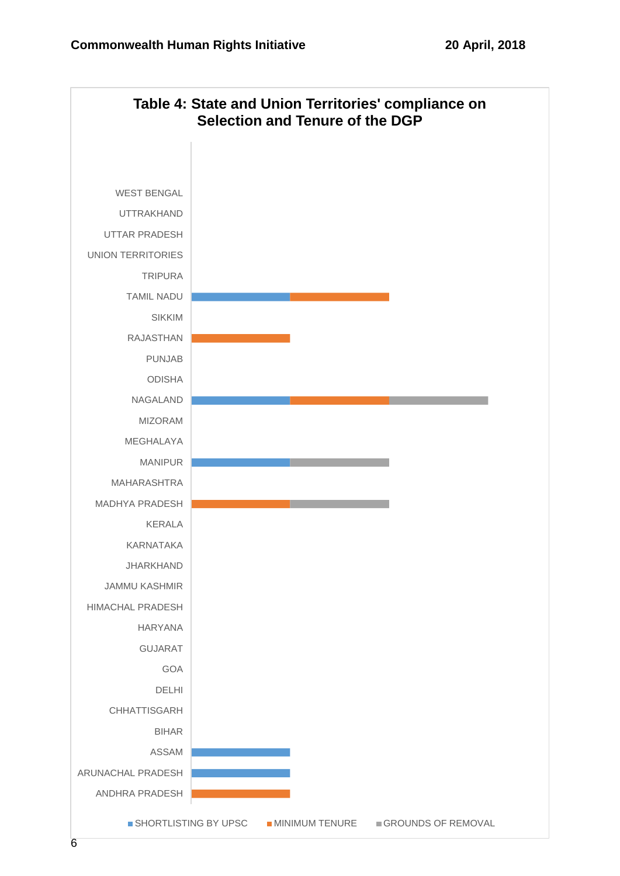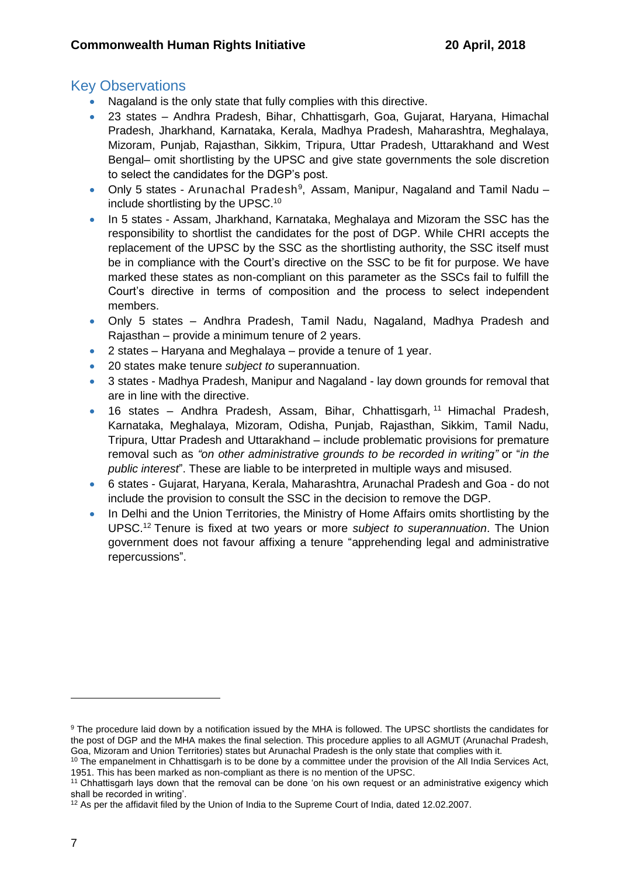- Nagaland is the only state that fully complies with this directive.
- 23 states Andhra Pradesh, Bihar, Chhattisgarh, Goa, Gujarat, Haryana, Himachal Pradesh, Jharkhand, Karnataka, Kerala, Madhya Pradesh, Maharashtra, Meghalaya, Mizoram, Punjab, Rajasthan, Sikkim, Tripura, Uttar Pradesh, Uttarakhand and West Bengal– omit shortlisting by the UPSC and give state governments the sole discretion to select the candidates for the DGP's post.
- Only 5 states Arunachal Pradesh<sup>9</sup>, Assam, Manipur, Nagaland and Tamil Nadu include shortlisting by the UPSC.<sup>10</sup>
- In 5 states Assam, Jharkhand, Karnataka, Meghalaya and Mizoram the SSC has the responsibility to shortlist the candidates for the post of DGP. While CHRI accepts the replacement of the UPSC by the SSC as the shortlisting authority, the SSC itself must be in compliance with the Court's directive on the SSC to be fit for purpose. We have marked these states as non-compliant on this parameter as the SSCs fail to fulfill the Court's directive in terms of composition and the process to select independent members.
- Only 5 states Andhra Pradesh, Tamil Nadu, Nagaland, Madhya Pradesh and Rajasthan – provide a minimum tenure of 2 years.
- 2 states Haryana and Meghalaya provide a tenure of 1 year.
- 20 states make tenure *subject to* superannuation.
- 3 states Madhya Pradesh, Manipur and Nagaland lay down grounds for removal that are in line with the directive.
- 16 states Andhra Pradesh, Assam, Bihar, Chhattisgarh, <sup>11</sup> Himachal Pradesh, Karnataka, Meghalaya, Mizoram, Odisha, Punjab, Rajasthan, Sikkim, Tamil Nadu, Tripura, Uttar Pradesh and Uttarakhand – include problematic provisions for premature removal such as *"on other administrative grounds to be recorded in writing"* or "*in the public interest*". These are liable to be interpreted in multiple ways and misused.
- 6 states Gujarat, Haryana, Kerala, Maharashtra, Arunachal Pradesh and Goa do not include the provision to consult the SSC in the decision to remove the DGP.
- In Delhi and the Union Territories, the Ministry of Home Affairs omits shortlisting by the UPSC.<sup>12</sup> Tenure is fixed at two years or more *subject to superannuation*. The Union government does not favour affixing a tenure "apprehending legal and administrative repercussions".

<sup>9</sup> The procedure laid down by a notification issued by the MHA is followed. The UPSC shortlists the candidates for the post of DGP and the MHA makes the final selection. This procedure applies to all AGMUT (Arunachal Pradesh, Goa, Mizoram and Union Territories) states but Arunachal Pradesh is the only state that complies with it.

 $10$  The empanelment in Chhattisgarh is to be done by a committee under the provision of the All India Services Act, 1951. This has been marked as non-compliant as there is no mention of the UPSC.

<sup>&</sup>lt;sup>11</sup> Chhattisgarh lays down that the removal can be done 'on his own request or an administrative exigency which shall be recorded in writing'.

<sup>12</sup> As per the affidavit filed by the Union of India to the Supreme Court of India, dated 12.02.2007.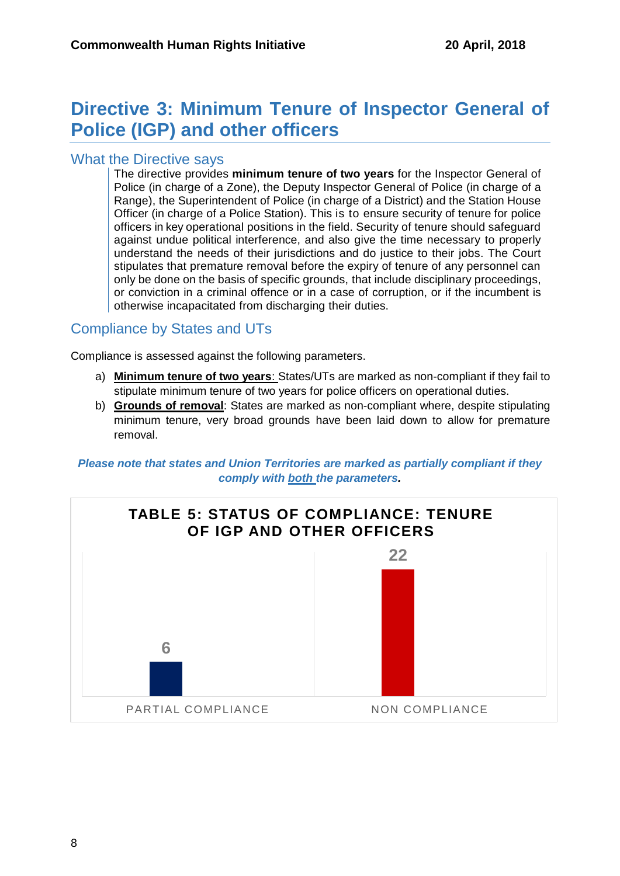# **Directive 3: Minimum Tenure of Inspector General of Police (IGP) and other officers**

### What the Directive says

The directive provides **minimum tenure of two years** for the Inspector General of Police (in charge of a Zone), the Deputy Inspector General of Police (in charge of a Range), the Superintendent of Police (in charge of a District) and the Station House Officer (in charge of a Police Station). This is to ensure security of tenure for police officers in key operational positions in the field. Security of tenure should safeguard against undue political interference, and also give the time necessary to properly understand the needs of their jurisdictions and do justice to their jobs. The Court stipulates that premature removal before the expiry of tenure of any personnel can only be done on the basis of specific grounds, that include disciplinary proceedings, or conviction in a criminal offence or in a case of corruption, or if the incumbent is otherwise incapacitated from discharging their duties.

## Compliance by States and UTs

Compliance is assessed against the following parameters.

- a) **Minimum tenure of two years**: States/UTs are marked as non-compliant if they fail to stipulate minimum tenure of two years for police officers on operational duties.
- b) **Grounds of removal**: States are marked as non-compliant where, despite stipulating minimum tenure, very broad grounds have been laid down to allow for premature removal.

*Please note that states and Union Territories are marked as partially compliant if they comply with both the parameters.*

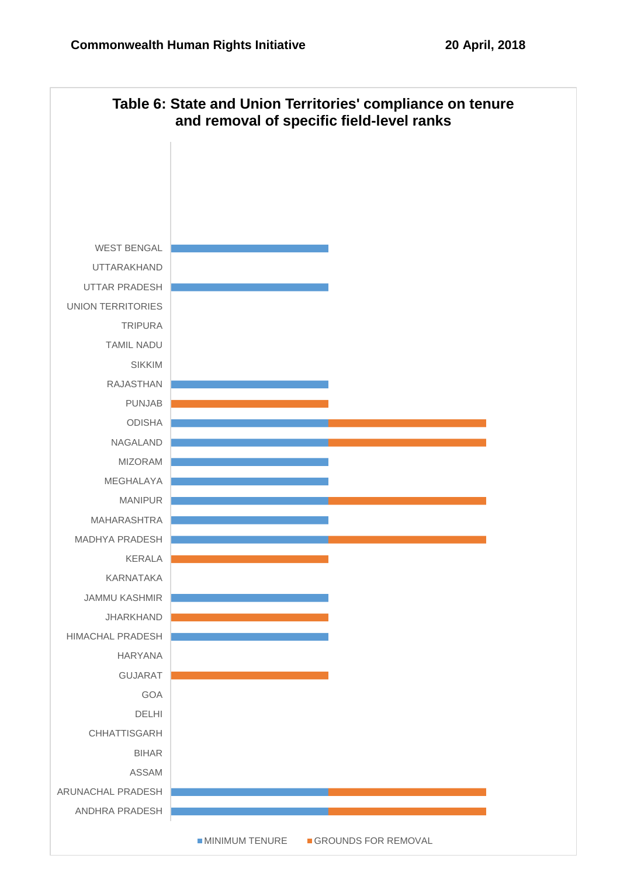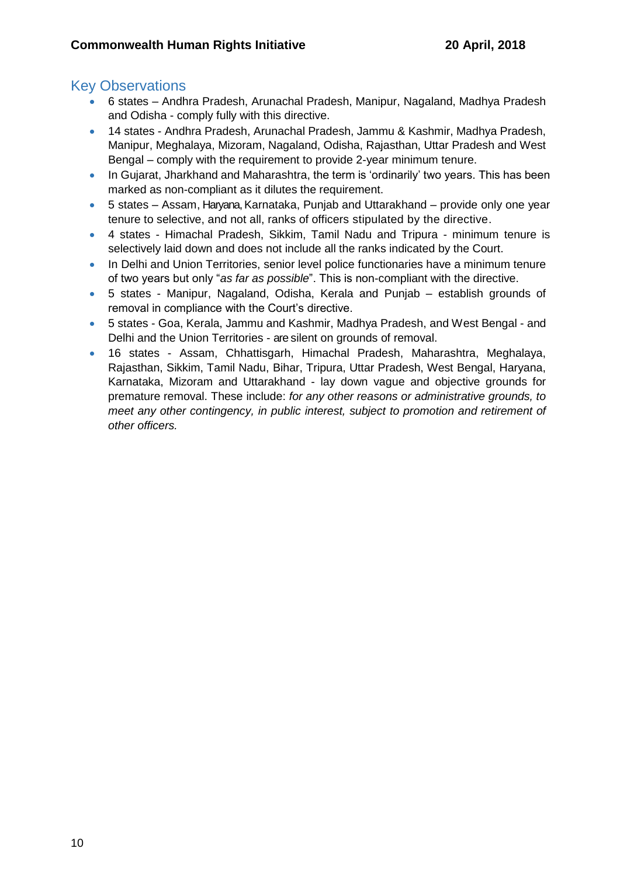- 6 states Andhra Pradesh, Arunachal Pradesh, Manipur, Nagaland, Madhya Pradesh and Odisha - comply fully with this directive.
- 14 states Andhra Pradesh, Arunachal Pradesh, Jammu & Kashmir, Madhya Pradesh, Manipur, Meghalaya, Mizoram, Nagaland, Odisha, Rajasthan, Uttar Pradesh and West Bengal – comply with the requirement to provide 2-year minimum tenure.
- In Gujarat, Jharkhand and Maharashtra, the term is 'ordinarily' two years. This has been marked as non-compliant as it dilutes the requirement.
- 5 states Assam, Haryana, Karnataka, Punjab and Uttarakhand provide only one year tenure to selective, and not all, ranks of officers stipulated by the directive.
- 4 states Himachal Pradesh, Sikkim, Tamil Nadu and Tripura minimum tenure is selectively laid down and does not include all the ranks indicated by the Court.
- In Delhi and Union Territories, senior level police functionaries have a minimum tenure of two years but only "*as far as possible*". This is non-compliant with the directive.
- 5 states Manipur, Nagaland, Odisha, Kerala and Punjab establish grounds of removal in compliance with the Court's directive.
- 5 states Goa, Kerala, Jammu and Kashmir, Madhya Pradesh, and West Bengal and Delhi and the Union Territories - are silent on grounds of removal.
- 16 states Assam, Chhattisgarh, Himachal Pradesh, Maharashtra, Meghalaya, Rajasthan, Sikkim, Tamil Nadu, Bihar, Tripura, Uttar Pradesh, West Bengal, Haryana, Karnataka, Mizoram and Uttarakhand - lay down vague and objective grounds for premature removal. These include: *for any other reasons or administrative grounds, to meet any other contingency, in public interest, subject to promotion and retirement of other officers.*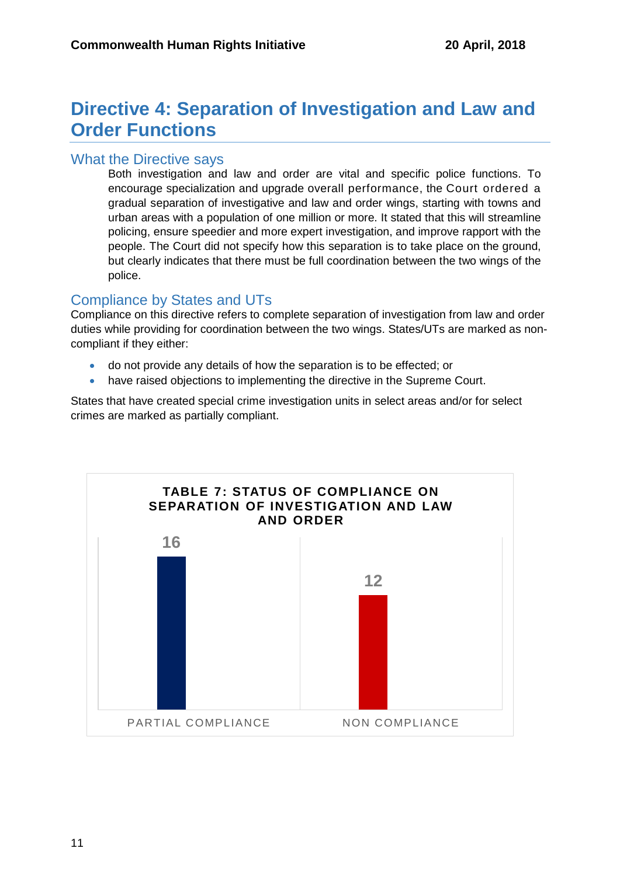# **Directive 4: Separation of Investigation and Law and Order Functions**

### What the Directive says

Both investigation and law and order are vital and specific police functions. To encourage specialization and upgrade overall performance, the Court ordered a gradual separation of investigative and law and order wings, starting with towns and urban areas with a population of one million or more. It stated that this will streamline policing, ensure speedier and more expert investigation, and improve rapport with the people. The Court did not specify how this separation is to take place on the ground, but clearly indicates that there must be full coordination between the two wings of the police.

## Compliance by States and UTs

Compliance on this directive refers to complete separation of investigation from law and order duties while providing for coordination between the two wings. States/UTs are marked as noncompliant if they either:

- do not provide any details of how the separation is to be effected; or
- have raised objections to implementing the directive in the Supreme Court.

States that have created special crime investigation units in select areas and/or for select crimes are marked as partially compliant.

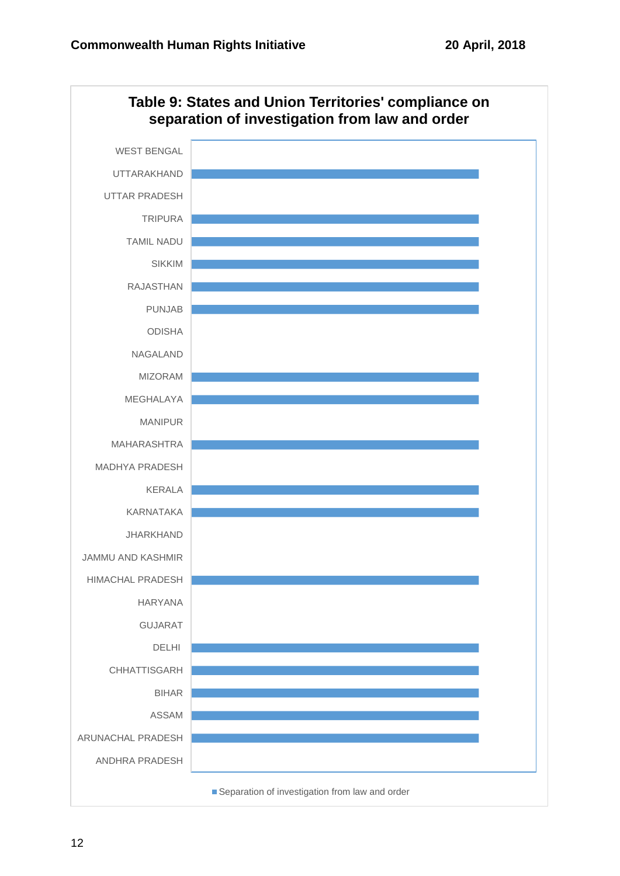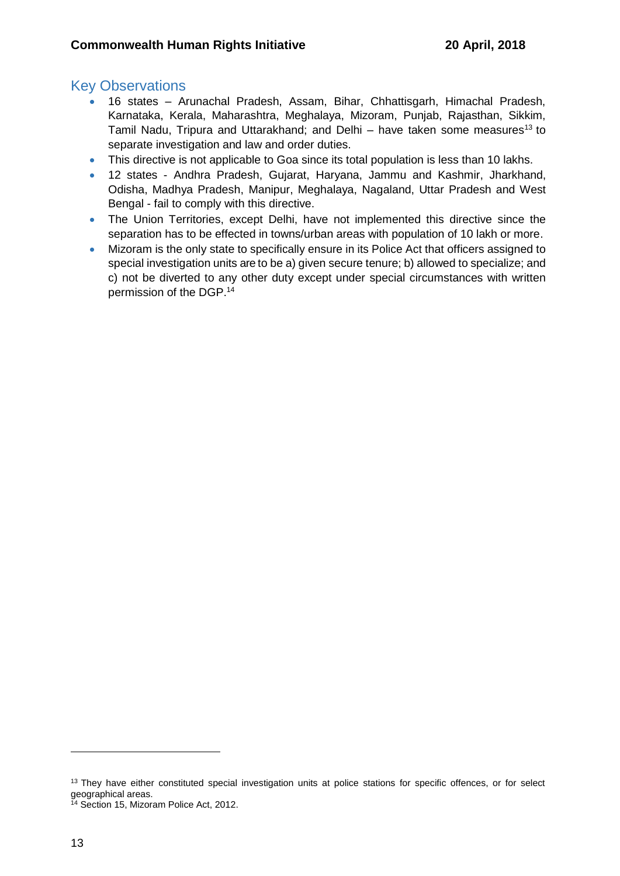- 16 states Arunachal Pradesh, Assam, Bihar, Chhattisgarh, Himachal Pradesh, Karnataka, Kerala, Maharashtra, Meghalaya, Mizoram, Punjab, Rajasthan, Sikkim, Tamil Nadu, Tripura and Uttarakhand; and Delhi – have taken some measures<sup>13</sup> to separate investigation and law and order duties.
- This directive is not applicable to Goa since its total population is less than 10 lakhs.
- 12 states Andhra Pradesh, Gujarat, Haryana, Jammu and Kashmir, Jharkhand, Odisha, Madhya Pradesh, Manipur, Meghalaya, Nagaland, Uttar Pradesh and West Bengal - fail to comply with this directive.
- The Union Territories, except Delhi, have not implemented this directive since the separation has to be effected in towns/urban areas with population of 10 lakh or more.
- Mizoram is the only state to specifically ensure in its Police Act that officers assigned to special investigation units are to be a) given secure tenure; b) allowed to specialize; and c) not be diverted to any other duty except under special circumstances with written permission of the DGP. 14

<sup>&</sup>lt;sup>13</sup> They have either constituted special investigation units at police stations for specific offences, or for select geographical areas.

<sup>&</sup>lt;sup>14</sup> Section 15, Mizoram Police Act, 2012.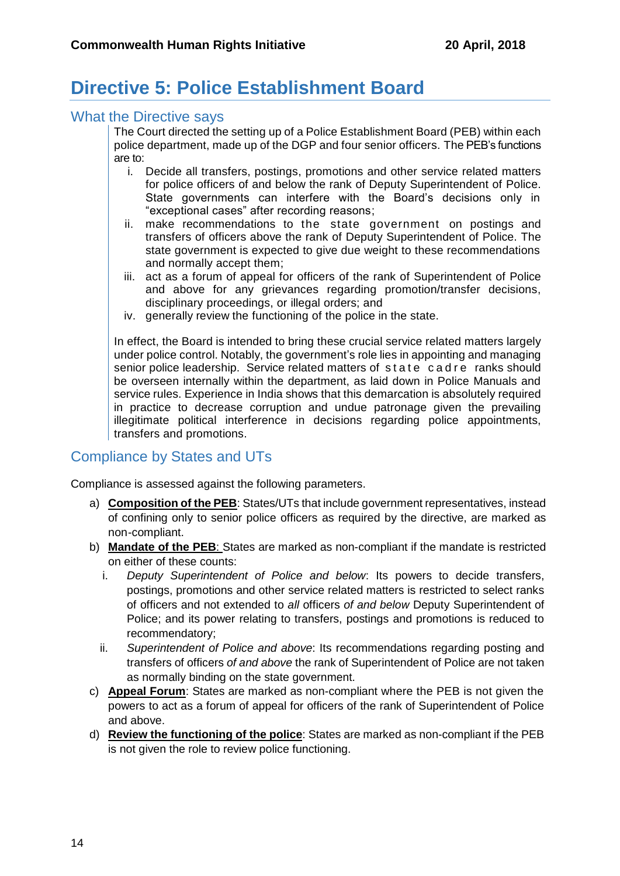# **Directive 5: Police Establishment Board**

#### What the Directive says

The Court directed the setting up of a Police Establishment Board (PEB) within each police department, made up of the DGP and four senior officers. The PEB's functions are to:

- i. Decide all transfers, postings, promotions and other service related matters for police officers of and below the rank of Deputy Superintendent of Police. State governments can interfere with the Board's decisions only in "exceptional cases" after recording reasons;
- ii. make recommendations to the state government on postings and transfers of officers above the rank of Deputy Superintendent of Police. The state government is expected to give due weight to these recommendations and normally accept them;
- iii. act as a forum of appeal for officers of the rank of Superintendent of Police and above for any grievances regarding promotion/transfer decisions, disciplinary proceedings, or illegal orders; and
- iv. generally review the functioning of the police in the state.

In effect, the Board is intended to bring these crucial service related matters largely under police control. Notably, the government's role lies in appointing and managing senior police leadership. Service related matters of state cadre ranks should be overseen internally within the department, as laid down in Police Manuals and service rules. Experience in India shows that this demarcation is absolutely required in practice to decrease corruption and undue patronage given the prevailing illegitimate political interference in decisions regarding police appointments, transfers and promotions.

### Compliance by States and UTs

Compliance is assessed against the following parameters.

- a) **Composition of the PEB**: States/UTs that include government representatives, instead of confining only to senior police officers as required by the directive, are marked as non-compliant.
- b) **Mandate of the PEB**: States are marked as non-compliant if the mandate is restricted on either of these counts:
	- i. *Deputy Superintendent of Police and below*: Its powers to decide transfers, postings, promotions and other service related matters is restricted to select ranks of officers and not extended to *all* officers *of and below* Deputy Superintendent of Police; and its power relating to transfers, postings and promotions is reduced to recommendatory;
	- ii. *Superintendent of Police and above*: Its recommendations regarding posting and transfers of officers *of and above* the rank of Superintendent of Police are not taken as normally binding on the state government.
- c) **Appeal Forum**: States are marked as non-compliant where the PEB is not given the powers to act as a forum of appeal for officers of the rank of Superintendent of Police and above.
- d) **Review the functioning of the police**: States are marked as non-compliant if the PEB is not given the role to review police functioning.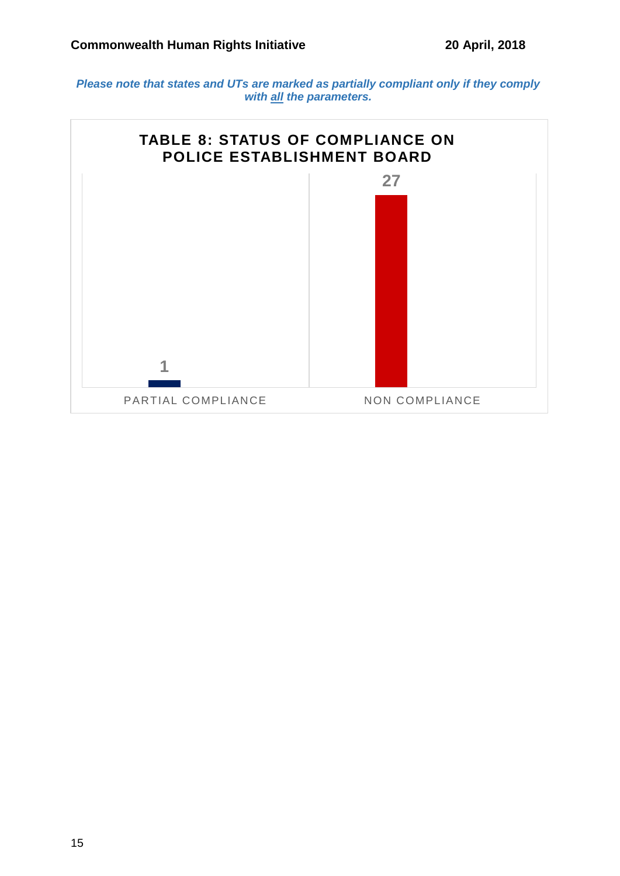*Please note that states and UTs are marked as partially compliant only if they comply with all the parameters.*

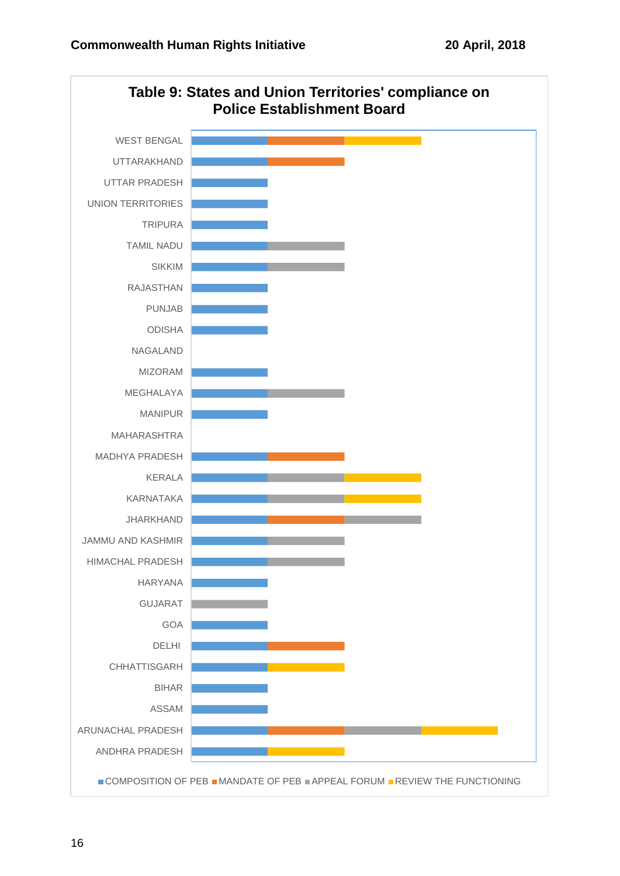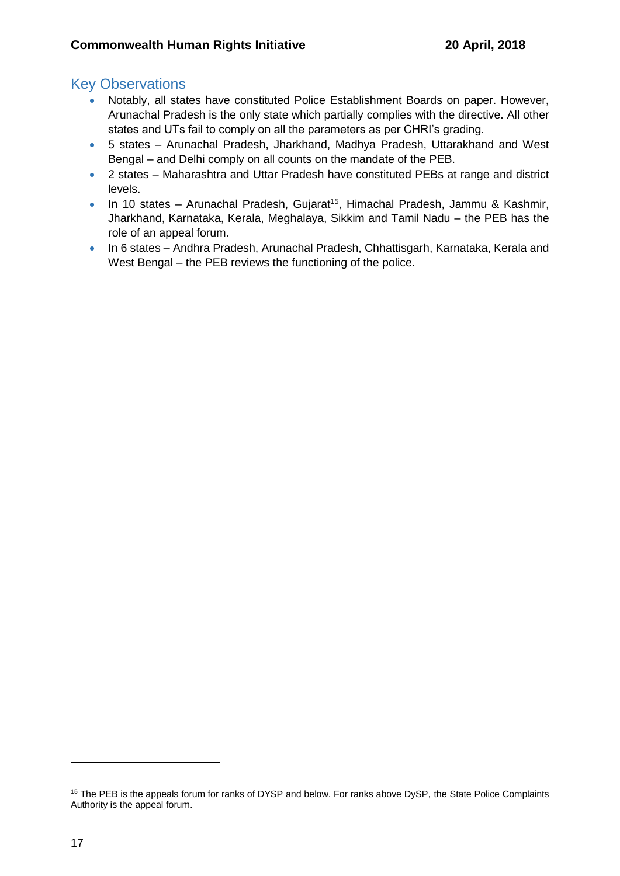- Notably, all states have constituted Police Establishment Boards on paper. However, Arunachal Pradesh is the only state which partially complies with the directive. All other states and UTs fail to comply on all the parameters as per CHRI's grading.
- 5 states Arunachal Pradesh, Jharkhand, Madhya Pradesh, Uttarakhand and West Bengal – and Delhi comply on all counts on the mandate of the PEB.
- 2 states Maharashtra and Uttar Pradesh have constituted PEBs at range and district levels.
- In 10 states Arunachal Pradesh, Gujarat<sup>15</sup>, Himachal Pradesh, Jammu & Kashmir, Jharkhand, Karnataka, Kerala, Meghalaya, Sikkim and Tamil Nadu – the PEB has the role of an appeal forum.
- In 6 states Andhra Pradesh, Arunachal Pradesh, Chhattisgarh, Karnataka, Kerala and West Bengal – the PEB reviews the functioning of the police.

<sup>&</sup>lt;sup>15</sup> The PEB is the appeals forum for ranks of DYSP and below. For ranks above DySP, the State Police Complaints Authority is the appeal forum.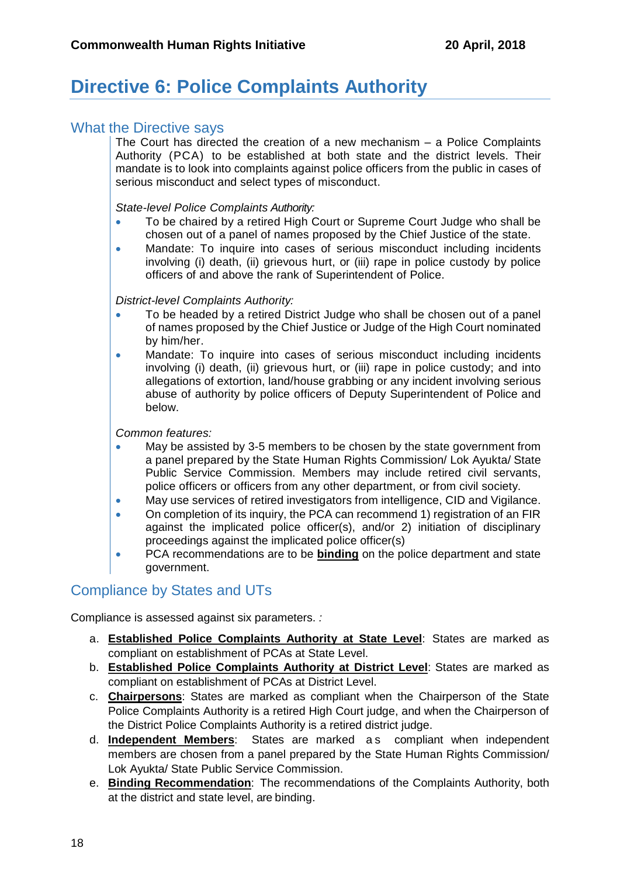# **Directive 6: Police Complaints Authority**

#### What the Directive says

The Court has directed the creation of a new mechanism – a Police Complaints Authority (PCA) to be established at both state and the district levels. Their mandate is to look into complaints against police officers from the public in cases of serious misconduct and select types of misconduct.

*State-level Police Complaints Authority:*

- To be chaired by a retired High Court or Supreme Court Judge who shall be chosen out of a panel of names proposed by the Chief Justice of the state.
- Mandate: To inquire into cases of serious misconduct including incidents involving (i) death, (ii) grievous hurt, or (iii) rape in police custody by police officers of and above the rank of Superintendent of Police.

*District-level Complaints Authority:*

- To be headed by a retired District Judge who shall be chosen out of a panel of names proposed by the Chief Justice or Judge of the High Court nominated by him/her.
- Mandate: To inquire into cases of serious misconduct including incidents involving (i) death, (ii) grievous hurt, or (iii) rape in police custody; and into allegations of extortion, land/house grabbing or any incident involving serious abuse of authority by police officers of Deputy Superintendent of Police and below.

#### *Common features:*

- May be assisted by 3-5 members to be chosen by the state government from a panel prepared by the State Human Rights Commission/ Lok Ayukta/ State Public Service Commission. Members may include retired civil servants, police officers or officers from any other department, or from civil society.
- May use services of retired investigators from intelligence, CID and Vigilance.
- On completion of its inquiry, the PCA can recommend 1) registration of an FIR against the implicated police officer(s), and/or 2) initiation of disciplinary proceedings against the implicated police officer(s)
- PCA recommendations are to be **binding** on the police department and state government.

### Compliance by States and UTs

Compliance is assessed against six parameters. *:*

- a. **Established Police Complaints Authority at State Level**: States are marked as compliant on establishment of PCAs at State Level.
- b. **Established Police Complaints Authority at District Level**: States are marked as compliant on establishment of PCAs at District Level.
- c. **Chairpersons**: States are marked as compliant when the Chairperson of the State Police Complaints Authority is a retired High Court judge, and when the Chairperson of the District Police Complaints Authority is a retired district judge.
- d. **Independent Members**: States are marked a s compliant when independent members are chosen from a panel prepared by the State Human Rights Commission/ Lok Ayukta/ State Public Service Commission.
- e. **Binding Recommendation**: The recommendations of the Complaints Authority, both at the district and state level, are binding.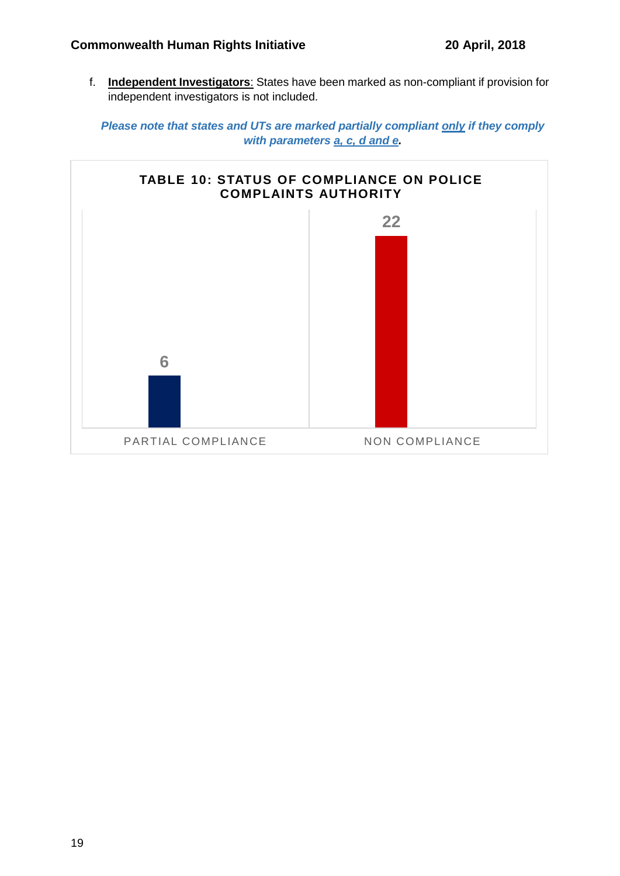f. **Independent Investigators**: States have been marked as non-compliant if provision for independent investigators is not included.

*Please note that states and UTs are marked partially compliant only if they comply with parameters a, c, d and e.*

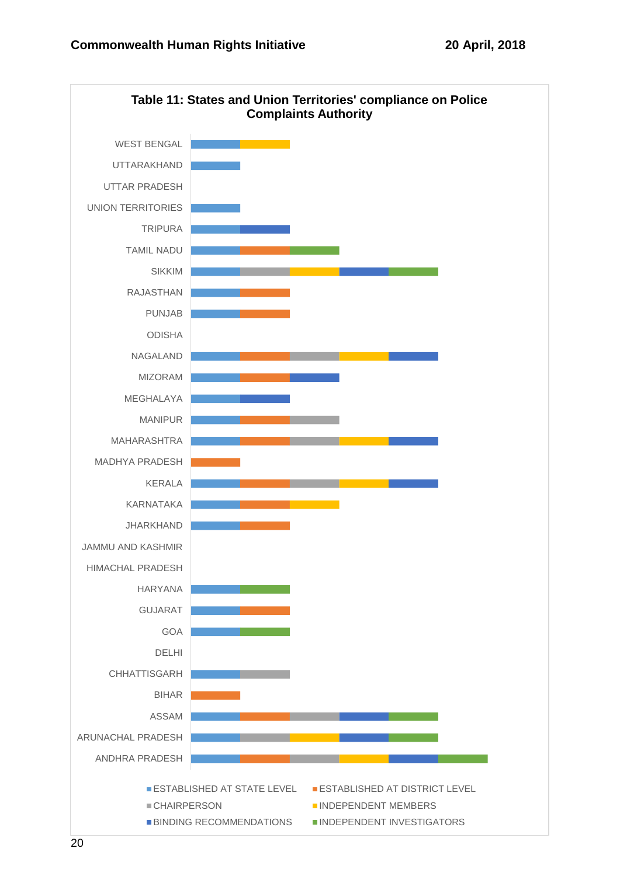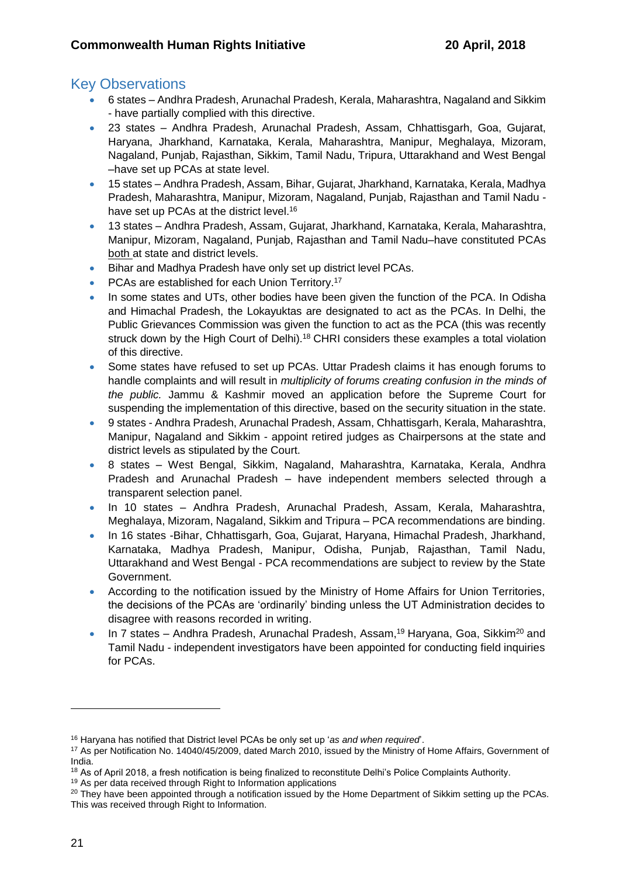- 6 states Andhra Pradesh, Arunachal Pradesh, Kerala, Maharashtra, Nagaland and Sikkim - have partially complied with this directive.
- 23 states Andhra Pradesh, Arunachal Pradesh, Assam, Chhattisgarh, Goa, Gujarat, Haryana, Jharkhand, Karnataka, Kerala, Maharashtra, Manipur, Meghalaya, Mizoram, Nagaland, Punjab, Rajasthan, Sikkim, Tamil Nadu, Tripura, Uttarakhand and West Bengal –have set up PCAs at state level.
- 15 states Andhra Pradesh, Assam, Bihar, Gujarat, Jharkhand, Karnataka, Kerala, Madhya Pradesh, Maharashtra, Manipur, Mizoram, Nagaland, Punjab, Rajasthan and Tamil Nadu have set up PCAs at the district level.<sup>16</sup>
- 13 states Andhra Pradesh, Assam, Gujarat, Jharkhand, Karnataka, Kerala, Maharashtra, Manipur, Mizoram, Nagaland, Punjab, Rajasthan and Tamil Nadu–have constituted PCAs both at state and district levels.
- Bihar and Madhya Pradesh have only set up district level PCAs.
- PCAs are established for each Union Territory.<sup>17</sup>
- In some states and UTs, other bodies have been given the function of the PCA. In Odisha and Himachal Pradesh, the Lokayuktas are designated to act as the PCAs. In Delhi, the Public Grievances Commission was given the function to act as the PCA (this was recently struck down by the High Court of Delhi).<sup>18</sup> CHRI considers these examples a total violation of this directive.
- Some states have refused to set up PCAs. Uttar Pradesh claims it has enough forums to handle complaints and will result in *multiplicity of forums creating confusion in the minds of the public.* Jammu & Kashmir moved an application before the Supreme Court for suspending the implementation of this directive, based on the security situation in the state.
- 9 states Andhra Pradesh, Arunachal Pradesh, Assam, Chhattisgarh, Kerala, Maharashtra, Manipur, Nagaland and Sikkim - appoint retired judges as Chairpersons at the state and district levels as stipulated by the Court.
- 8 states West Bengal, Sikkim, Nagaland, Maharashtra, Karnataka, Kerala, Andhra Pradesh and Arunachal Pradesh – have independent members selected through a transparent selection panel.
- In 10 states Andhra Pradesh, Arunachal Pradesh, Assam, Kerala, Maharashtra, Meghalaya, Mizoram, Nagaland, Sikkim and Tripura – PCA recommendations are binding.
- In 16 states -Bihar, Chhattisgarh, Goa, Gujarat, Haryana, Himachal Pradesh, Jharkhand, Karnataka, Madhya Pradesh, Manipur, Odisha, Punjab, Rajasthan, Tamil Nadu, Uttarakhand and West Bengal - PCA recommendations are subject to review by the State Government.
- According to the notification issued by the Ministry of Home Affairs for Union Territories, the decisions of the PCAs are 'ordinarily' binding unless the UT Administration decides to disagree with reasons recorded in writing.
- In 7 states Andhra Pradesh, Arunachal Pradesh, Assam,<sup>19</sup> Haryana, Goa, Sikkim<sup>20</sup> and Tamil Nadu - independent investigators have been appointed for conducting field inquiries for PCAs.

<sup>16</sup> Haryana has notified that District level PCAs be only set up '*as and when required*'.

<sup>17</sup> As per Notification No. 14040/45/2009, dated March 2010, issued by the Ministry of Home Affairs, Government of India.

<sup>&</sup>lt;sup>18</sup> As of April 2018, a fresh notification is being finalized to reconstitute Delhi's Police Complaints Authority.

<sup>19</sup> As per data received through Right to Information applications

 $20$  They have been appointed through a notification issued by the Home Department of Sikkim setting up the PCAs. This was received through Right to Information.